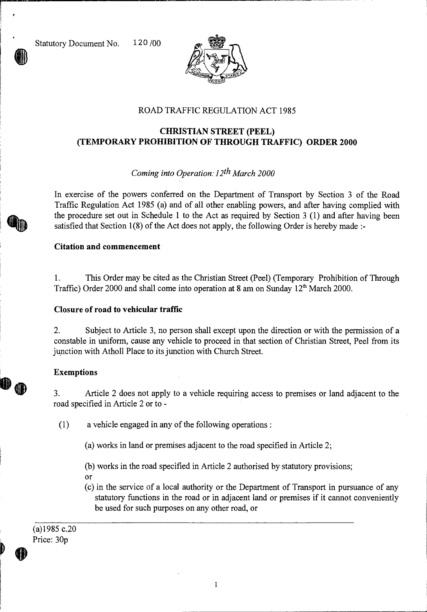Statutory Document No. 120 /00



# ROAD TRAFFIC REGULATION ACT 1985

# **CHRISTIAN STREET (PEEL) (TEMPORARY PROHIBITION OF THROUGH TRAFFIC) ORDER 2000**

# *Coming into Operation: 12th March 2000*

In exercise of the powers conferred on the Department of Transport by Section 3 of the Road Traffic Regulation Act 1985 (a) and of all other enabling powers, and after having complied with the procedure set out in Schedule 1 to the Act as required by Section 3 (1) and after having been satisfied that Section 1(8) of the Act does not apply, the following Order is hereby made :-

### **Citation and commencement**

1. This Order may be cited as the Christian Street (Peel) (Temporary Prohibition of Through Traffic) Order 2000 and shall come into operation at 8 am on Sunday  $12<sup>th</sup>$  March 2000.

#### **Closure of road to vehicular traffic**

2. Subject to Article 3, no person shall except upon the direction or with the permission of a constable in uniform, cause any vehicle to proceed in that section of Christian Street, Peel from its junction with Atholl Place to its junction with Church Street.

### **Exemptions**

3. Article 2 does not apply to a vehicle requiring access to premises or land adjacent to the road specified in Article 2 or to -

(1) a vehicle engaged in any of the following operations :

(a) works in land or premises adjacent to the road specified in Article 2;

(b) works in the road specified in Article 2 authorised by statutory provisions;

- or
- (c) in the service of a local authority or the Department of Transport in pursuance of any statutory functions in the road or in adjacent land or premises if it cannot conveniently be used for such purposes on any other road, or

(a)1985 c.20 Price: 30p